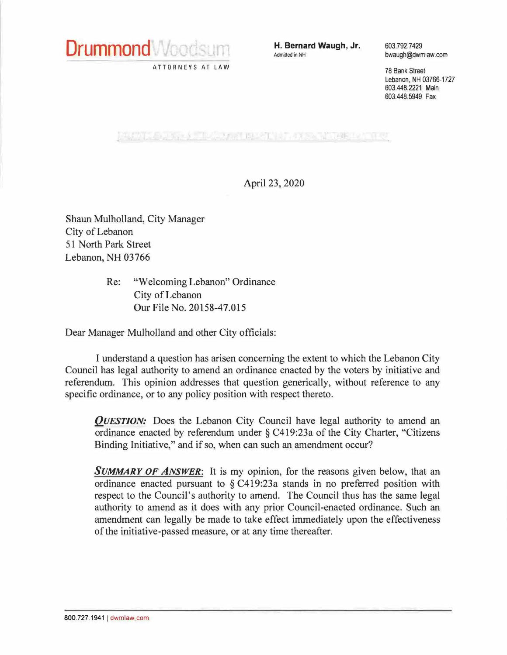

ATTORNEYS AT LAW

**H. Bernard Waugh, Jr. Admilted in NH**

603. 792. 7 429 bwaugh@dwmlaw.com

78 Bank Street Lebanon, NH 03766-1727 603.448.2221 Main 603.448.5949 Fax

**FULLY LEADER AT THE PERMIT BERTH AT A REPORT OF DEPTH** 

## April 23, 2020

Shaun Mulholland, City Manager City of Lebanon 51 North Park Street Lebanon, NH 03766

> Re: "Welcoming Lebanon" Ordinance City of Lebanon Our File No. 20158-47.015

Dear Manager Mulholland and other City officials:

I understand a question has arisen concerning the extent to which the Lebanon City Council has legal authority to amend an ordinance enacted by the voters by initiative and referendum. This opinion addresses that question generically, without reference to any specific ordinance, or to any policy position with respect thereto.

*QUESTION:* Does the Lebanon City Council have legal authority to amend an ordinance enacted by referendum under § C419:23a of the City Charter, "Citizens Binding Initiative," and if so, when can such an amendment occur?

*SUMMARY OF ANSWER*: It is my opinion, for the reasons given below, that an ordinance enacted pursuant to § C419:23a stands in no preferred position with respect to the Council's authority to amend. The Council thus has the same legal authority to amend as it does with any prior Council-enacted ordinance. Such an amendment can legally be made to take effect immediately upon the effectiveness of the initiative-passed measure, or at any time thereafter.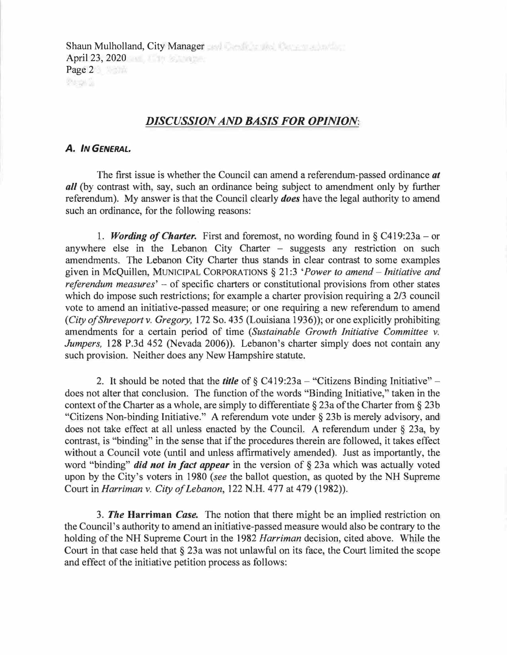Shaun Mulholland, City Manager April 23, 2020 Page 2 era li

## *DISCUSSION AND BASIS FOR OPINION:*

## *A. IN GENERAL.*

The first issue is whether the Council can amend a referendum-passed ordinance *at*  all (by contrast with, say, such an ordinance being subject to amendment only by further referendum). My answer is that the Council clearly *does* have the legal authority to amend such an ordinance, for the following reasons:

1. *Wording of Charter.* First and foremost, no wording found in § C419:23a – or anywhere else in the Lebanon City Charter - suggests any restriction on such amendments. The Lebanon City Charter thus stands in clear contrast to some examples given in McQuillen, MUNICIPAL CORPORATIONS § 21 :3 *'Power to amend* - *Initiative and referendum measures'* – of specific charters or constitutional provisions from other states which do impose such restrictions; for example a charter provision requiring a 2/3 council vote to amend an initiative-passed measure; or one requiring a new referendum to amend ( *City of Shreveport* v. *Gregory,* 172 So. 435 (Louisiana 1936)); or one explicitly prohibiting amendments for a certain period of time *(Sustainable Growth Initiative Committee v. Jumpers,* 128 P.3d 452 (Nevada 2006)). Lebanon's charter simply does not contain any such provision. Neither does any New Hampshire statute.

2. It should be noted that the *title* of  $\S$  C419:23a – "Citizens Binding Initiative" – does not alter that conclusion. The function of the words "Binding Initiative," taken in the context of the Charter as a whole, are simply to differentiate§ 23a of the Charter from§ 23b "Citizens Non-binding Initiative." A referendum vote under § 23b is merely advisory, and does not take effect at all unless enacted by the Council. A referendum under § 23a, by contrast, is "binding" in the sense that if the procedures therein are followed, it takes effect without a Council vote (until and unless affirmatively amended). Just as importantly, the word "binding" *did not in fact appear* in the version of § 23a which was actually voted upon by the City's voters in 1980 *(see* the ballot question, as quoted by the NH Supreme Court in *Harriman* v. *City of Lebanon,* 122 N.H. 477 at 479 (1982)).

3. *The* Harriman *Case.* The notion that there might be an implied restriction on the Council's authority to amend an initiative-passed measure would also be contrary to the holding of the NH Supreme Court in the 1982 *Harriman* decision, cited above. While the Court in that case held that § 23a was not unlawful on its face, the Court limited the scope and effect of the initiative petition process as follows: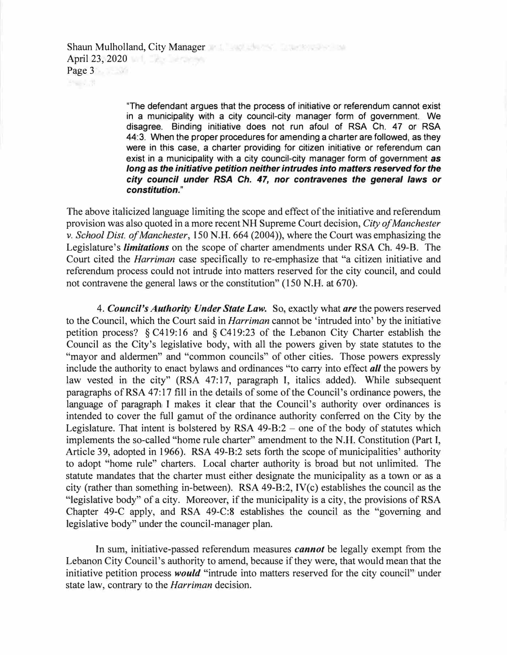Shaun Mulholland, City Manager and Theorem 2014 April 23, 2020 Page 3

> "The defendant argues that the process of initiative or referendum cannot exist in a municipality with a city council-city manager form of government. We disagree. Binding initiative does not run afoul of RSA Ch. 47 or RSA 44:3. When the proper procedures for amending a charter are followed, as they were in this case, a charter providing for citizen initiative or referendum can exist in a municipality with a city council-city manager form of government *as long as the initiative petition neither intrudes into matters reserved for the city council under RSA Ch. 47, nor contravenes the general laws or constitution."*

The above italicized language limiting the scope and effect of the initiative and referendum provision was also quoted in a more recent NH Supreme Court decision, *City of Manchester*  v. *School Dist. of Manchester,* 150 N.H. 664 (2004)), where the Court was emphasizing the Legislature's *limitations* on the scope of charter amendments under RSA Ch. 49-B. The Court cited the *Harriman* case specifically to re-emphasize that "a citizen initiative and referendum process could not intrude into matters reserved for the city council, and could not contravene the general laws or the constitution" (150 N.H. at 670).

4. *Council's Authority Under State Law.* So, exactly what *are* the powers reserved to the Council, which the Court said in *Harriman* cannot be 'intruded into' by the initiative petition process?  $\S C419:16$  and  $\S C419:23$  of the Lebanon City Charter establish the Council as the City's legislative body, with all the powers given by state statutes to the "mayor and aldermen" and "common councils" of other cities. Those powers expressly include the authority to enact bylaws and ordinances "to carry into effect *all* the powers by law vested in the city" **(RSA** 47:17, paragraph I, italics added). While subsequent paragraphs of RSA 47:17 fill in the details of some of the Council's ordinance powers, the language of paragraph I makes it clear that the Council's authority over ordinances is intended to cover the full gamut of the ordinance authority conferred on the City by the Legislature. That intent is bolstered by RSA  $49 - B:2 -$  one of the body of statutes which implements the so-called "home rule charter" amendment to the N.H. Constitution (Part I, Article 39, adopted in 1966). RSA 49-B:2 sets forth the scope of municipalities' authority to adopt "home rule" charters. Local charter authority is broad but not unlimited. The statute mandates that the charter must either designate the municipality as a town or as a city (rather than something in-between). RSA 49-B:2, IV(c) establishes the council as the "legislative body" of a city. Moreover, if the municipality is a city, the provisions of RSA Chapter 49-C apply, and RSA 49-C:8 establishes the council as the "governing and legislative body" under the council-manager plan.

In sum, initiative-passed referendum measures *cannot* be legally exempt from the Lebanon City Council's authority to amend, because if they were, that would mean that the initiative petition process *would* "intrude into matters reserved for the city council" under state law, contrary to the *Harriman* decision.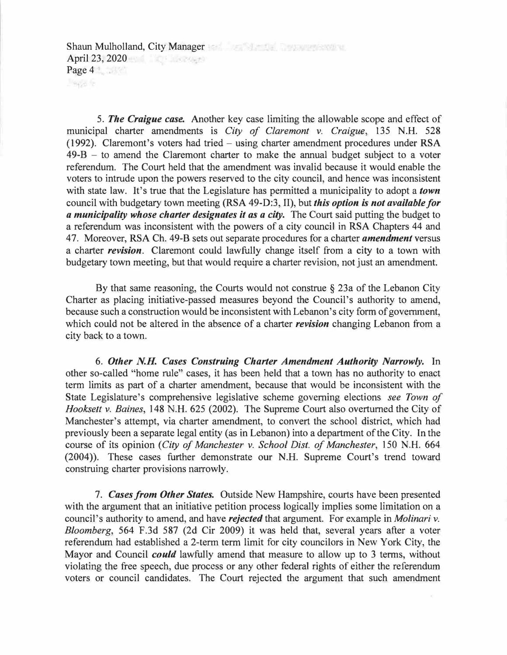Shaun Mulholland, City Manager April 23, 2020 Page 4  $-94256$ 

5. *The Craigue case.* Another key case limiting the allowable scope and effect of municipal charter amendments is *City of Claremont v. Craigue,* 135 N.H. 528 (1992). Claremont's voters had tried – using charter amendment procedures under RSA  $49 - B -$  to amend the Claremont charter to make the annual budget subject to a voter referendum. The Court held that the amendment was invalid because it would enable the voters to intrude upon the powers reserved to the city council, and hence was inconsistent with state law. It's true that the Legislature has permitted a municipality to adopt a *town* council with budgetary town meeting (RSA 49-D:3, II), but *this option is not available for a municipality whose charter designates it as a city.* The Court said putting the budget to a referendum was inconsistent with the powers of a city council in RSA Chapters 44 and 47. Moreover, RSA Ch. 49-B sets out separate procedures for a charter *amendment* versus a charter *revision.* Claremont could lawfully change itself from a city to a town with budgetary town meeting, but that would require a charter revision, not just an amendment.

By that same reasoning, the Courts would not construe  $\S$  23a of the Lebanon City Charter as placing initiative-passed measures beyond the Council's authority to amend, because such a construction would be inconsistent with Lebanon's city form of government, which could not be altered in the absence of a charter *revision* changing Lebanon from a city back to a town.

6. *Other N.H. Cases Construing Charter Amendment Authority Narrowly.* In other so-called "home rule" cases, it has been held that a town has no authority to enact term limits as part of a charter amendment, because that would be inconsistent with the State Legislature's comprehensive legislative scheme governing elections *see Town of Hooksett v. Baines,* 148 N.H. 625 (2002). The Supreme Court also overturned the City of Manchester's attempt, via charter amendment, to convert the school district, which had previously been a separate legal entity (as in Lebanon) into a department of the City. In the course of its opinion *(City of Manchester v. School Dist. of Manchester,* 150 N.H. 664 (2004)). These cases further demonstrate our N.H. Supreme Court's trend toward construing charter provisions narrowly.

7. *Cases from Other States.* Outside New Hampshire, courts have been presented with the argument that an initiative petition process logically implies some limitation on a council's authority to amend, and have *rejected* that argument. For example in *Molinari v. Bloomberg,* 564 F.3d 587 (2d Cir 2009) it was held that, several years after a voter referendum had established a 2-term term limit for city councilors in New York City, the Mayor and Council *could* lawfully amend that measure to allow up to 3 terms, without violating the free speech, due process or any other federal rights of either the referendum voters or council candidates. The Court rejected the argument that such amendment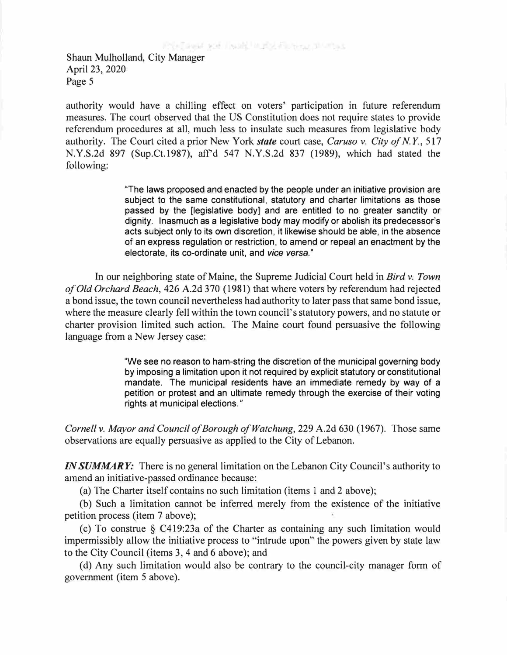Shaun Mulholland, City Manager April 23, 2020 Page 5

authority would have a chilling effect on voters' participation in future referendum measures. The court observed that the US Constitution does not require states to provide referendum procedures at all, much less to insulate such measures from legislative body authority. The Court cited a prior New York *state* court case, *Caruso* v. *City ofN Y,* 517 N.Y.S.2d 897 (Sup.Ct.1987), aff'd 547 N.Y.S.2d 837 (1989), which had stated the following:

> "The laws proposed and enacted by the people under an initiative provision are subject to the same constitutional, statutory and charter limitations as those passed by the [legislative body] and are entitled to no greater sanctity or dignity. Inasmuch as a legislative body may modify or abolish its predecessor's acts subject only to its own discretion, it likewise should be able, in the absence of an express regulation or restriction, to amend or repeal an enactment by the electorate, its co-ordinate unit, and *vice versa."*

In our neighboring state of Maine, the Supreme Judicial Court held in *Bird* v. *Town of Old Orchard Beach,* 426 A.2d 370 (1981) that where voters by referendum had rejected a bond issue, the town council nevertheless had authority to later pass that same bond issue, where the measure clearly fell within the town council's statutory powers, and no statute or charter provision limited such action. The Maine court found persuasive the following language from a New Jersey case:

> "We see no reason to ham-string the discretion of the municipal governing body by imposing a limitation upon it not required by explicit statutory or constitutional mandate. The municipal residents have an immediate remedy by way of a petition or protest and an ultimate remedy through the exercise of their voting rights at municipal elections."

*Cornell v. Mayor and Council of Borough of Watchung,* 229 A.2d 630 (1967). Those same observations are equally persuasive as applied to the City of Lebanon.

*IN SUMMARY:* There is no general limitation on the Lebanon City Council's authority to amend an initiative-passed ordinance because:

(a) The Charter itself contains no such limitation (items 1 and 2 above);

(b) Such a limitation cannot be inferred merely from the existence of the initiative petition process (item 7 above);

(c) To construe § C419:23a of the Charter as containing any such limitation would impermissibly allow the initiative process to "intrude upon" the powers given by state law to the City Council (items 3, 4 and 6 above); and

( d) Any such limitation would also be contrary to the council-city manager form of government (item 5 above).